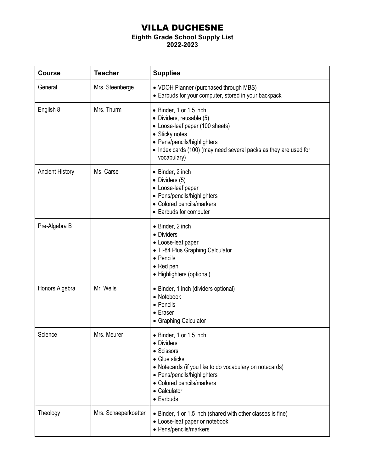## VILLA DUCHESNE

## **Eighth Grade School Supply List**

**2022-2023**

| <b>Course</b>          | <b>Teacher</b>       | <b>Supplies</b>                                                                                                                                                                                                                  |
|------------------------|----------------------|----------------------------------------------------------------------------------------------------------------------------------------------------------------------------------------------------------------------------------|
| General                | Mrs. Steenberge      | • VDOH Planner (purchased through MBS)<br>• Earbuds for your computer, stored in your backpack                                                                                                                                   |
| English 8              | Mrs. Thurm           | • Binder, 1 or 1.5 inch<br>• Dividers, reusable (5)<br>• Loose-leaf paper (100 sheets)<br>• Sticky notes<br>• Pens/pencils/highlighters<br>• Index cards (100) (may need several packs as they are used for<br>vocabulary)       |
| <b>Ancient History</b> | Ms. Carse            | • Binder, 2 inch<br>$\bullet$ Dividers (5)<br>• Loose-leaf paper<br>• Pens/pencils/highlighters<br>• Colored pencils/markers<br>• Earbuds for computer                                                                           |
| Pre-Algebra B          |                      | • Binder, 2 inch<br>• Dividers<br>• Loose-leaf paper<br>• TI-84 Plus Graphing Calculator<br>• Pencils<br>$\bullet$ Red pen<br>• Highlighters (optional)                                                                          |
| Honors Algebra         | Mr. Wells            | • Binder, 1 inch (dividers optional)<br>• Notebook<br>• Pencils<br>$\bullet$ Eraser<br>• Graphing Calculator                                                                                                                     |
| Science                | Mrs. Meurer          | • Binder, 1 or 1.5 inch<br>• Dividers<br>• Scissors<br>• Glue sticks<br>• Notecards (if you like to do vocabulary on notecards)<br>• Pens/pencils/highlighters<br>• Colored pencils/markers<br>• Calculator<br>$\bullet$ Earbuds |
| Theology               | Mrs. Schaeperkoetter | • Binder, 1 or 1.5 inch (shared with other classes is fine)<br>• Loose-leaf paper or notebook<br>• Pens/pencils/markers                                                                                                          |